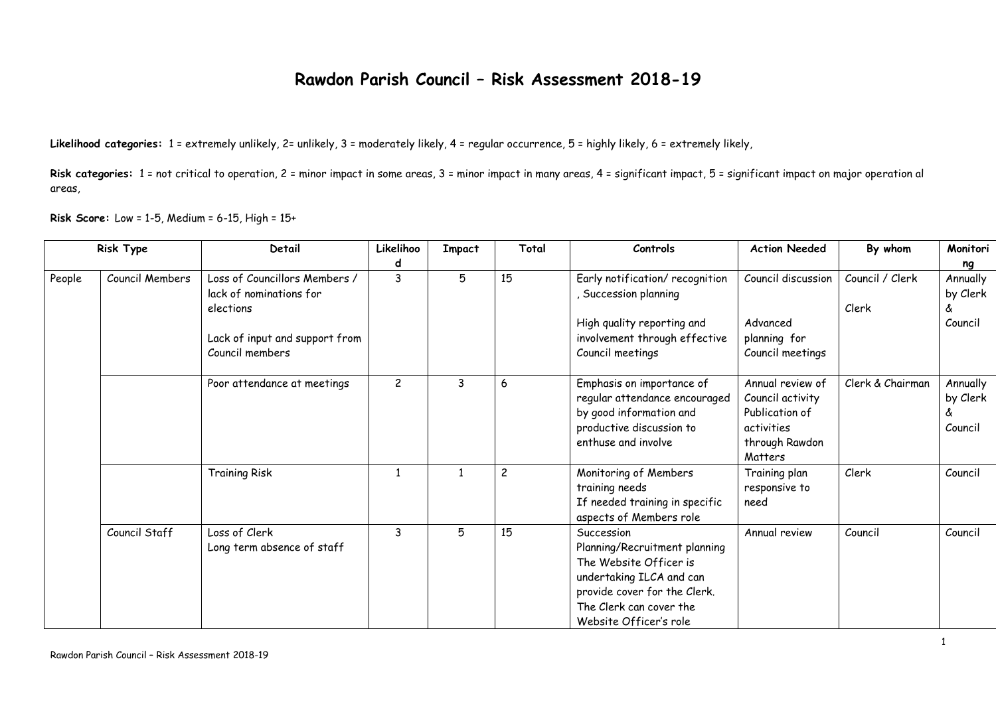## **Rawdon Parish Council – Risk Assessment 2018-19**

**Likelihood categories:** 1 = extremely unlikely, 2= unlikely, 3 = moderately likely, 4 = regular occurrence, 5 = highly likely, 6 = extremely likely,

Risk categories: 1 = not critical to operation, 2 = minor impact in some areas, 3 = minor impact in many areas, 4 = significant impact, 5 = significant impact on major operation al areas,

**Risk Score:** Low = 1-5, Medium = 6-15, High = 15+

| Risk Type |                 | Detail                                                                | Likelihoo      | <b>Impact</b> | Total          | Controls                                                                                                                                                                               | <b>Action Needed</b>                                                                              | By whom                  | Monitori                             |
|-----------|-----------------|-----------------------------------------------------------------------|----------------|---------------|----------------|----------------------------------------------------------------------------------------------------------------------------------------------------------------------------------------|---------------------------------------------------------------------------------------------------|--------------------------|--------------------------------------|
|           |                 |                                                                       | d              |               |                |                                                                                                                                                                                        |                                                                                                   |                          | ng                                   |
| People    | Council Members | Loss of Councillors Members /<br>lack of nominations for<br>elections | 3              | 5             | 15             | Early notification/ recognition<br>Succession planning                                                                                                                                 | Council discussion                                                                                | Council / Clerk<br>Clerk | Annually<br>by Clerk<br>å            |
|           |                 | Lack of input and support from<br>Council members                     |                |               |                | High quality reporting and<br>involvement through effective<br>Council meetings                                                                                                        | Advanced<br>planning for<br>Council meetings                                                      |                          | Council                              |
|           |                 | Poor attendance at meetings                                           | $\overline{c}$ | 3             | 6              | Emphasis on importance of<br>regular attendance encouraged<br>by good information and<br>productive discussion to<br>enthuse and involve                                               | Annual review of<br>Council activity<br>Publication of<br>activities<br>through Rawdon<br>Matters | Clerk & Chairman         | Annually<br>by Clerk<br>å<br>Council |
|           |                 | <b>Training Risk</b>                                                  |                |               | $\overline{c}$ | Monitoring of Members<br>training needs<br>If needed training in specific<br>aspects of Members role                                                                                   | Training plan<br>responsive to<br>need                                                            | Clerk                    | Council                              |
|           | Council Staff   | Loss of Clerk<br>Long term absence of staff                           | 3              | 5             | 15             | Succession<br>Planning/Recruitment planning<br>The Website Officer is<br>undertaking ILCA and can<br>provide cover for the Clerk.<br>The Clerk can cover the<br>Website Officer's role | Annual review                                                                                     | Council                  | Council                              |